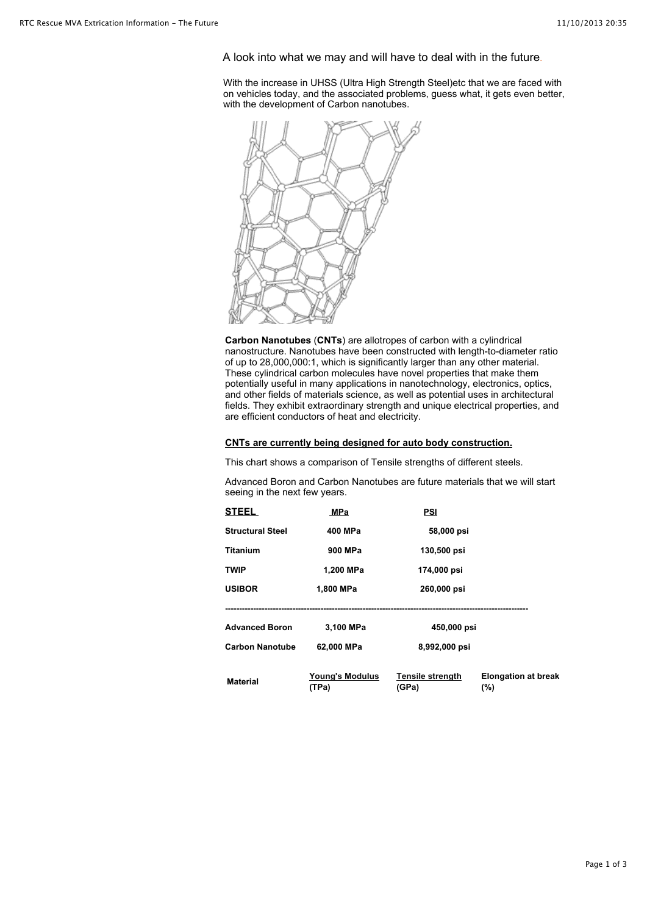## A look into what we may and will have to deal with in the future.

With the increase in UHSS (Ultra High Strength Steel)etc that we are faced with on vehicles today, and the associated problems, guess what, it gets even better, with the development of Carbon nanotubes.



**Carbon Nanotubes** (**CNTs**) are allotropes of carbon with a cylindrical nanostructure. Nanotubes have been constructed with length-to-diameter ratio of up to 28,000,000:1, which is significantly larger than any other material. These cylindrical carbon molecules have novel properties that make them potentially useful in many applications in nanotechnology, electronics, optics, and other fields of materials science, as well as potential uses in architectural fields. They exhibit extraordinary strength and unique electrical properties, and are efficient conductors of heat and electricity.

## **CNTs are currently being designed for auto body construction.**

This chart shows a comparison of Tensile strengths of different steels.

Advanced Boron and Carbon Nanotubes are future materials that we will start seeing in the next few years.

| STEEL                   | MPa                             | PSI                              |                                   |
|-------------------------|---------------------------------|----------------------------------|-----------------------------------|
| <b>Structural Steel</b> | 400 MPa                         | 58,000 psi                       |                                   |
| Titanium                | <b>900 MPa</b>                  | 130,500 psi                      |                                   |
| TWIP                    | 1,200 MPa                       | 174,000 psi                      |                                   |
| <b>USIBOR</b>           | 1,800 MPa                       | 260,000 psi                      |                                   |
|                         |                                 |                                  |                                   |
| <b>Advanced Boron</b>   | 3,100 MPa                       | 450,000 psi                      |                                   |
| <b>Carbon Nanotube</b>  | 62.000 MPa                      | 8,992,000 psi                    |                                   |
|                         |                                 |                                  |                                   |
| <b>Material</b>         | <b>Young's Modulus</b><br>(TPa) | <b>Tensile strength</b><br>(GPa) | <b>Elongation at break</b><br>(%) |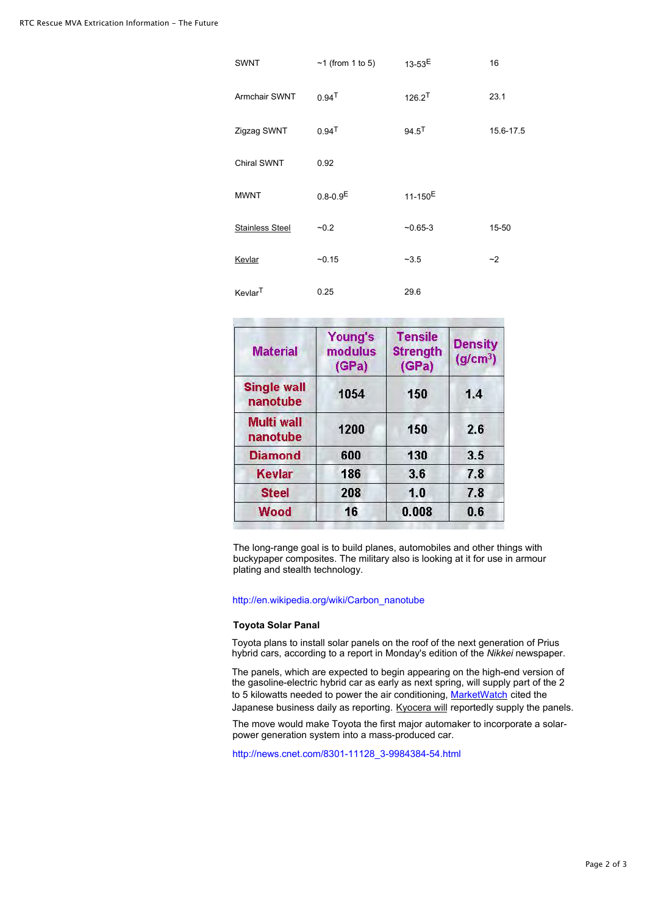| <b>SWNT</b>            | $~1$ (from 1 to 5)       | $13 - 53^{E}$ | 16        |
|------------------------|--------------------------|---------------|-----------|
| Armchair SWNT          | $0.94$ <sup>T</sup>      | $126.2^{T}$   | 23.1      |
| Zigzag SWNT            | $0.94$ <sup>T</sup>      | $94.5^{T}$    | 15.6-17.5 |
| Chiral SWNT            | 0.92                     |               |           |
| <b>MWNT</b>            | $0.8 - 0.9$ <sup>E</sup> | $11 - 150^E$  |           |
| <b>Stainless Steel</b> | $-0.2$                   | $-0.65-3$     | 15-50     |
| Kevlar                 | $-0.15$                  | $-3.5$        | ~2        |
| Kevlar <sup>T</sup>    | 0.25                     | 29.6          |           |

| <b>Material</b>                | Young's<br>modulus<br>(GPa) | <b>Tensile</b><br><b>Strength</b><br>(GPa) | <b>Density</b><br>(g/cm <sup>3</sup> ) |
|--------------------------------|-----------------------------|--------------------------------------------|----------------------------------------|
| <b>Single wall</b><br>nanotube | 1054                        | 150                                        | 1.4                                    |
| <b>Multi wall</b><br>nanotube  | 1200                        | 150                                        | 2.6                                    |
| <b>Diamond</b>                 | 600                         | 130                                        | 3.5                                    |
| <b>Kevlar</b>                  | 186                         | 3.6                                        | 7.8                                    |
| <b>Steel</b>                   | 208                         | 1.0                                        | 7.8                                    |
| Wood                           | 16                          | 0.008                                      | 0.6                                    |

The long-range goal is to build planes, automobiles and other things with buckypaper composites. The military also is looking at it for use in armour plating and stealth technology.

## http://en.wikipedia.org/wiki/Carbon\_nanotube

## **Toyota Solar Panal**

Toyota plans to install solar panels on the roof of the next generation of Prius hybrid cars, according to a report in Monday's edition of the *Nikkei* newspaper.

The panels, which are expected to begin appearing on the high-end version of the gasoline-electric hybrid car as early as next spring, will supply part of the 2 to 5 kilowatts needed to power the air conditioning, MarketWatch cited the Japanese business daily as reporting. Kyocera will reportedly supply the panels.

The move would make Toyota the first major automaker to incorporate a solarpower generation system into a mass-produced car.

http://news.cnet.com/8301-11128\_3-9[984384-54.ht](http://www.rtc-rescue.com/8301-10784_3-9726663-7.html)[ml](http://www.marketwatch.com/news/story/story.aspx?guid=%7BA5960A1A-E176-4A08-952C-4BC4A0A69284%7D&siteid=rss)